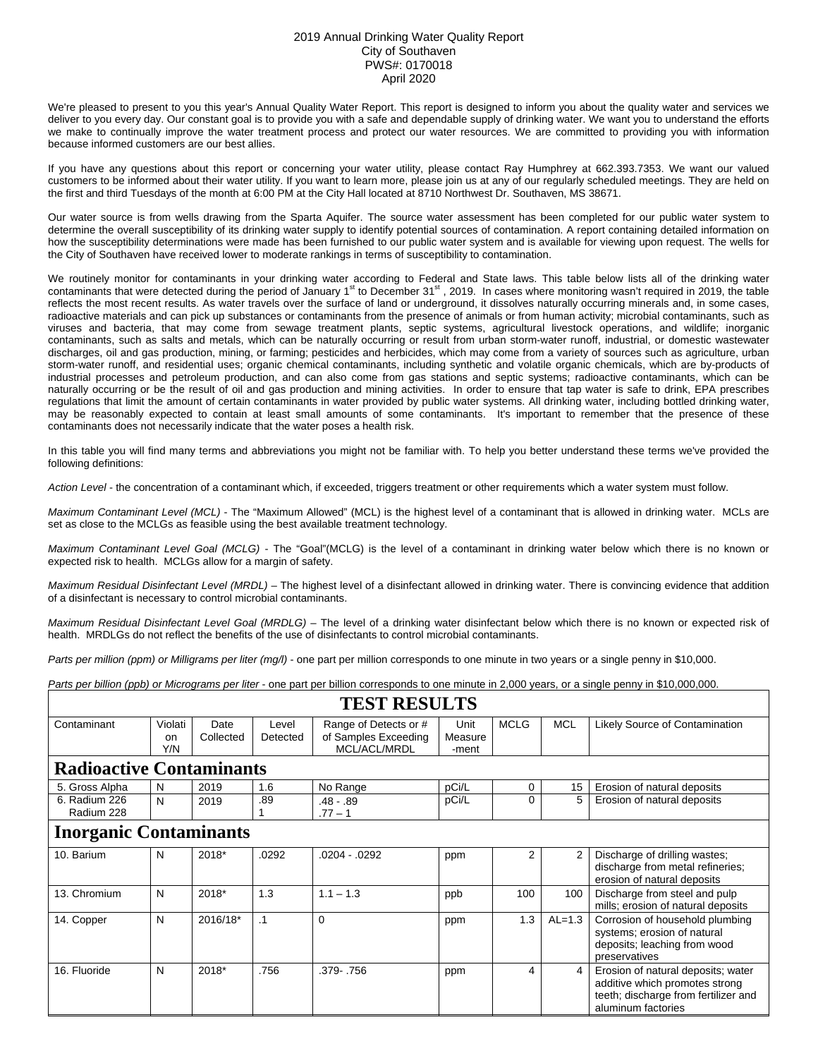## 2019 Annual Drinking Water Quality Report City of Southaven PWS#: 0170018 April 2020

We're pleased to present to you this year's Annual Quality Water Report. This report is designed to inform you about the quality water and services we deliver to you every day. Our constant goal is to provide you with a safe and dependable supply of drinking water. We want you to understand the efforts we make to continually improve the water treatment process and protect our water resources. We are committed to providing you with information because informed customers are our best allies.

If you have any questions about this report or concerning your water utility, please contact Ray Humphrey at 662.393.7353. We want our valued customers to be informed about their water utility. If you want to learn more, please join us at any of our regularly scheduled meetings. They are held on the first and third Tuesdays of the month at 6:00 PM at the City Hall located at 8710 Northwest Dr. Southaven, MS 38671.

Our water source is from wells drawing from the Sparta Aquifer. The source water assessment has been completed for our public water system to determine the overall susceptibility of its drinking water supply to identify potential sources of contamination. A report containing detailed information on how the susceptibility determinations were made has been furnished to our public water system and is available for viewing upon request. The wells for the City of Southaven have received lower to moderate rankings in terms of susceptibility to contamination.

We routinely monitor for contaminants in your drinking water according to Federal and State laws. This table below lists all of the drinking water contaminants that were detected during the period of January 1st to December 31st, 2019. In cases where monitoring wasn't required in 2019, the table reflects the most recent results. As water travels over the surface of land or underground, it dissolves naturally occurring minerals and, in some cases, radioactive materials and can pick up substances or contaminants from the presence of animals or from human activity; microbial contaminants, such as viruses and bacteria, that may come from sewage treatment plants, septic systems, agricultural livestock operations, and wildlife; inorganic contaminants, such as salts and metals, which can be naturally occurring or result from urban storm-water runoff, industrial, or domestic wastewater discharges, oil and gas production, mining, or farming; pesticides and herbicides, which may come from a variety of sources such as agriculture, urban storm-water runoff, and residential uses; organic chemical contaminants, including synthetic and volatile organic chemicals, which are by-products of industrial processes and petroleum production, and can also come from gas stations and septic systems; radioactive contaminants, which can be naturally occurring or be the result of oil and gas production and mining activities. In order to ensure that tap water is safe to drink, EPA prescribes regulations that limit the amount of certain contaminants in water provided by public water systems. All drinking water, including bottled drinking water, may be reasonably expected to contain at least small amounts of some contaminants. It's important to remember that the presence of these contaminants does not necessarily indicate that the water poses a health risk.

In this table you will find many terms and abbreviations you might not be familiar with. To help you better understand these terms we've provided the following definitions:

*Action Level* - the concentration of a contaminant which, if exceeded, triggers treatment or other requirements which a water system must follow.

*Maximum Contaminant Level (MCL)* - The "Maximum Allowed" (MCL) is the highest level of a contaminant that is allowed in drinking water. MCLs are set as close to the MCLGs as feasible using the best available treatment technology.

*Maximum Contaminant Level Goal (MCLG)* - The "Goal"(MCLG) is the level of a contaminant in drinking water below which there is no known or expected risk to health. MCLGs allow for a margin of safety.

*Maximum Residual Disinfectant Level (MRDL)* – The highest level of a disinfectant allowed in drinking water. There is convincing evidence that addition of a disinfectant is necessary to control microbial contaminants.

*Maximum Residual Disinfectant Level Goal (MRDLG)* – The level of a drinking water disinfectant below which there is no known or expected risk of health. MRDLGs do not reflect the benefits of the use of disinfectants to control microbial contaminants.

*Parts per million (ppm) or Milligrams per liter (mg/l)* - one part per million corresponds to one minute in two years or a single penny in \$10,000.

*Parts per billion (ppb) or Micrograms per liter* - one part per billion corresponds to one minute in 2,000 years, or a single penny in \$10,000,000.

| TEST RESULTS                    |                             |                   |                   |                                                               |                          |             |                |                                                                                                                                    |  |  |  |
|---------------------------------|-----------------------------|-------------------|-------------------|---------------------------------------------------------------|--------------------------|-------------|----------------|------------------------------------------------------------------------------------------------------------------------------------|--|--|--|
| Contaminant                     | Violati<br><b>on</b><br>Y/N | Date<br>Collected | Level<br>Detected | Range of Detects or #<br>of Samples Exceeding<br>MCL/ACL/MRDL | Unit<br>Measure<br>-ment | <b>MCLG</b> | <b>MCL</b>     | Likely Source of Contamination                                                                                                     |  |  |  |
| <b>Radioactive Contaminants</b> |                             |                   |                   |                                                               |                          |             |                |                                                                                                                                    |  |  |  |
| 5. Gross Alpha                  | N                           | 2019              | 1.6               | No Range                                                      | pCi/L                    | 0           | 15             | Erosion of natural deposits                                                                                                        |  |  |  |
| 6. Radium 226<br>Radium 228     | N                           | 2019              | .89               | $.48 - .89$<br>$.77 - 1$                                      | pCi/L                    | 0           | 5              | Erosion of natural deposits                                                                                                        |  |  |  |
| <b>Inorganic Contaminants</b>   |                             |                   |                   |                                                               |                          |             |                |                                                                                                                                    |  |  |  |
| 10. Barium                      | N                           | 2018*             | .0292             | $.0204 - .0292$                                               | ppm                      | 2           | $\overline{2}$ | Discharge of drilling wastes;<br>discharge from metal refineries;<br>erosion of natural deposits                                   |  |  |  |
| 13. Chromium                    | N                           | 2018*             | 1.3               | $1.1 - 1.3$                                                   | ppb                      | 100         | 100            | Discharge from steel and pulp<br>mills; erosion of natural deposits                                                                |  |  |  |
| 14. Copper                      | N                           | 2016/18*          | $\cdot$ 1         | 0                                                             | ppm                      | 1.3         | $AL=1.3$       | Corrosion of household plumbing<br>systems; erosion of natural<br>deposits; leaching from wood<br>preservatives                    |  |  |  |
| 16. Fluoride                    | N                           | 2018*             | .756              | .379-.756                                                     | ppm                      | 4           | 4              | Erosion of natural deposits; water<br>additive which promotes strong<br>teeth; discharge from fertilizer and<br>aluminum factories |  |  |  |

## **TEST RESULTS**